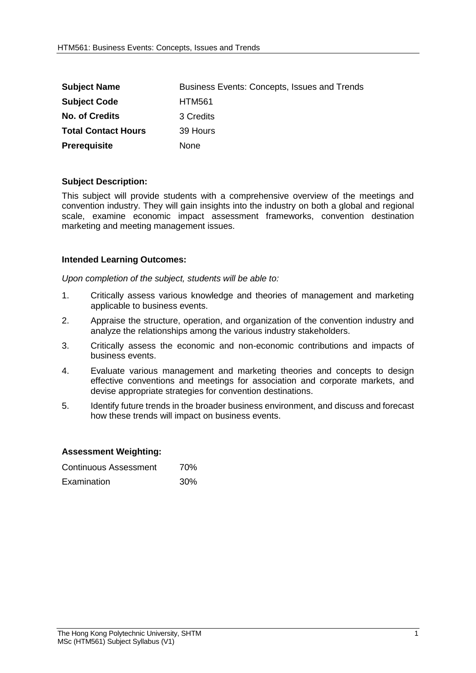| <b>Subject Name</b>        | Business Events: Concepts, Issues and Trends |
|----------------------------|----------------------------------------------|
| <b>Subject Code</b>        | <b>HTM561</b>                                |
| <b>No. of Credits</b>      | 3 Credits                                    |
| <b>Total Contact Hours</b> | 39 Hours                                     |
| <b>Prerequisite</b>        | <b>None</b>                                  |

## **Subject Description:**

This subject will provide students with a comprehensive overview of the meetings and convention industry. They will gain insights into the industry on both a global and regional scale, examine economic impact assessment frameworks, convention destination marketing and meeting management issues.

## **Intended Learning Outcomes:**

*Upon completion of the subject, students will be able to:*

- 1. Critically assess various knowledge and theories of management and marketing applicable to business events.
- 2. Appraise the structure, operation, and organization of the convention industry and analyze the relationships among the various industry stakeholders.
- 3. Critically assess the economic and non-economic contributions and impacts of business events.
- 4. Evaluate various management and marketing theories and concepts to design effective conventions and meetings for association and corporate markets, and devise appropriate strategies for convention destinations.
- 5. Identify future trends in the broader business environment, and discuss and forecast how these trends will impact on business events.

## **Assessment Weighting:**

| Continuous Assessment | 70% |
|-----------------------|-----|
| Examination           | 30% |